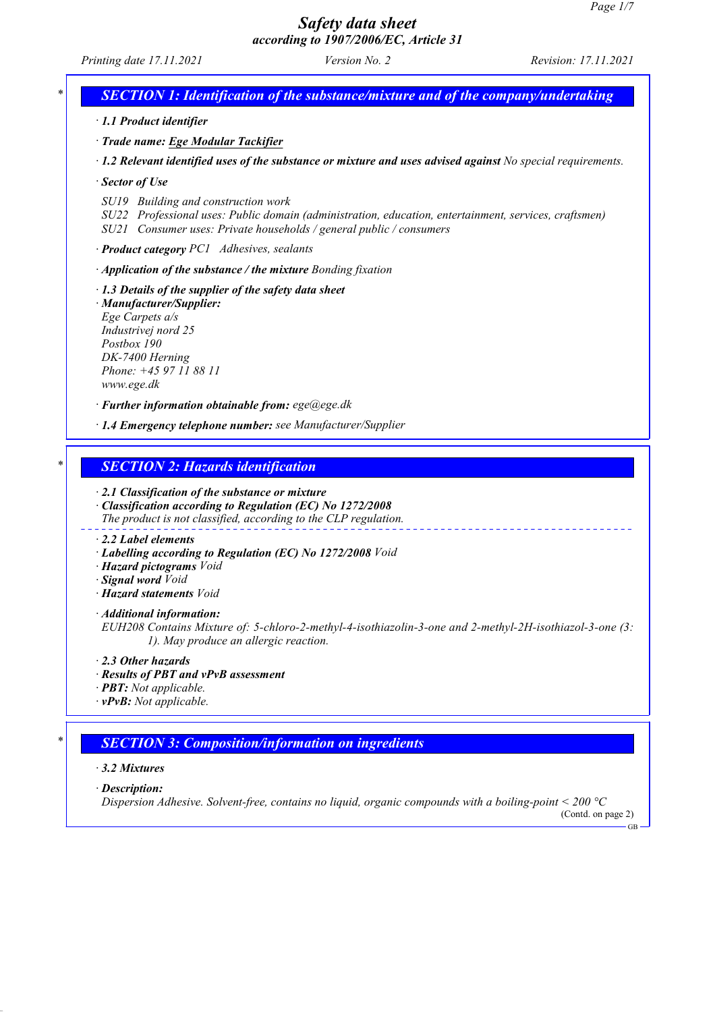*Printing date 17.11.2021 Version No. 2 Revision: 17.11.2021*

*SECTION 1: Identification of the substance/mixture and of the company/undertaking* 

*· 1.1 Product identifier*

*· Trade name: Ege Modular Tackifier*

*· 1.2 Relevant identified uses of the substance or mixture and uses advised against No special requirements.*

*· Sector of Use*

*SU19 Building and construction work*

*SU22 Professional uses: Public domain (administration, education, entertainment, services, craftsmen) SU21 Consumer uses: Private households / general public / consumers*

*· Product category PC1 Adhesives, sealants*

*· Application of the substance / the mixture Bonding fixation*

*· 1.3 Details of the supplier of the safety data sheet*

*· Manufacturer/Supplier: Ege Carpets a/s Industrivej nord 25 Postbox 190 DK-7400 Herning Phone: +45 97 11 88 11 www.ege.dk*

*· Further information obtainable from: ege@ege.dk*

*· 1.4 Emergency telephone number: see Manufacturer/Supplier*

## *\* SECTION 2: Hazards identification*

*· 2.1 Classification of the substance or mixture · Classification according to Regulation (EC) No 1272/2008*

*The product is not classified, according to the CLP regulation.*

#### *· 2.2 Label elements*

- *· Labelling according to Regulation (EC) No 1272/2008 Void*
- *· Hazard pictograms Void*
- *· Signal word Void*
- *· Hazard statements Void*

*· Additional information:*

*EUH208 Contains Mixture of: 5-chloro-2-methyl-4-isothiazolin-3-one and 2-methyl-2H-isothiazol-3-one (3: 1). May produce an allergic reaction.*

*· 2.3 Other hazards*

- *· Results of PBT and vPvB assessment*
- *· PBT: Not applicable.*

*· vPvB: Not applicable.*

## *\* SECTION 3: Composition/information on ingredients*

### *· 3.2 Mixtures*

*· Description:*

*Dispersion Adhesive. Solvent-free, contains no liquid, organic compounds with a boiling-point < 200 °C*

(Contd. on page 2) GB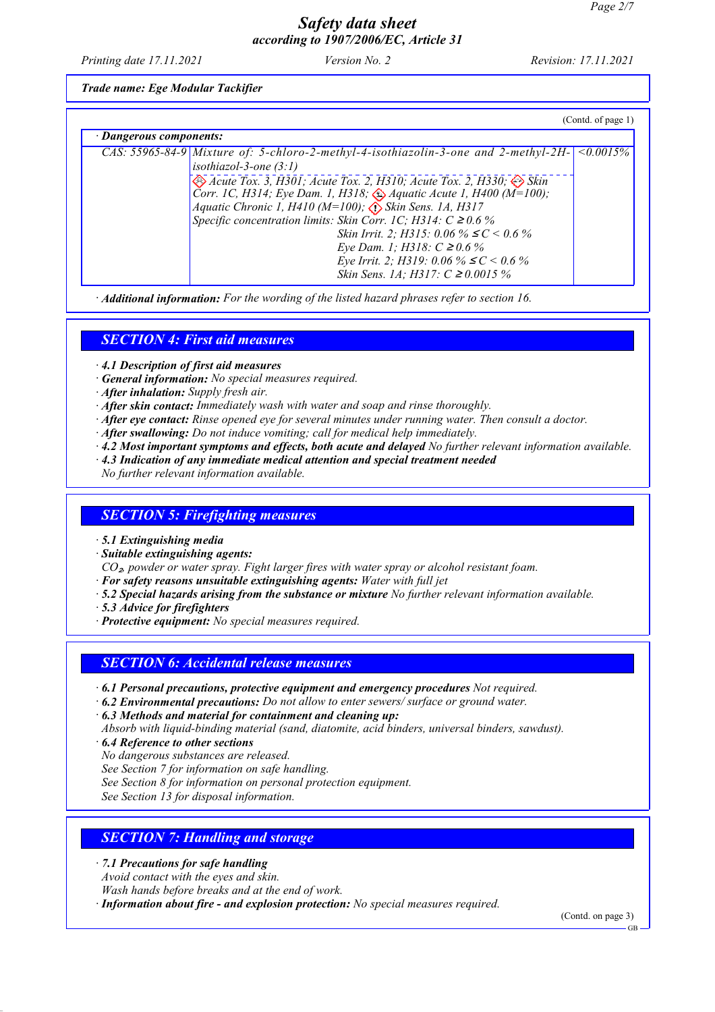*Printing date 17.11.2021 Version No. 2 Revision: 17.11.2021*

*Trade name: Ege Modular Tackifier*

|                         |                                                                                                                                                                                                                                                                                                                                                                                                                                                                                                                                                                                                                     | (Contd. of page 1) |  |  |
|-------------------------|---------------------------------------------------------------------------------------------------------------------------------------------------------------------------------------------------------------------------------------------------------------------------------------------------------------------------------------------------------------------------------------------------------------------------------------------------------------------------------------------------------------------------------------------------------------------------------------------------------------------|--------------------|--|--|
| · Dangerous components: |                                                                                                                                                                                                                                                                                                                                                                                                                                                                                                                                                                                                                     |                    |  |  |
|                         | CAS: 55965-84-9 Mixture of: 5-chloro-2-methyl-4-isothiazolin-3-one and 2-methyl-2H-<br>isothiazol-3-one $(3:1)$<br>Acute Tox. 3, H301; Acute Tox. 2, H310; Acute Tox. 2, H330; $\leftrightarrow$ Skin<br>Corr. 1C, H314; Eye Dam. 1, H318; $\iff$ Aquatic Acute 1, H400 (M=100);<br>Aquatic Chronic 1, H410 (M=100); $\overrightarrow{P}$ Skin Sens. 1A, H317<br>Specific concentration limits: Skin Corr. 1C; H314: $C \ge 0.6\%$<br>Skin Irrit. 2; H315: 0.06 % $\leq C$ < 0.6 %<br><i>Eye Dam. 1; H318: C ≥ 0.6 %</i><br>Eye Irrit. 2; H319: 0.06 % $\leq C$ < 0.6 %<br><i>Skin Sens. 1A; H317: C ≥ 0.0015 %</i> | $\leq 0.0015\%$    |  |  |

*· Additional information: For the wording of the listed hazard phrases refer to section 16.*

## *SECTION 4: First aid measures*

*· 4.1 Description of first aid measures*

- *· General information: No special measures required.*
- *· After inhalation: Supply fresh air.*
- *· After skin contact: Immediately wash with water and soap and rinse thoroughly.*
- *· After eye contact: Rinse opened eye for several minutes under running water. Then consult a doctor.*
- *· After swallowing: Do not induce vomiting; call for medical help immediately.*
- *· 4.2 Most important symptoms and effects, both acute and delayed No further relevant information available.*
- *· 4.3 Indication of any immediate medical attention and special treatment needed*

*No further relevant information available.*

## *SECTION 5: Firefighting measures*

*· 5.1 Extinguishing media*

*· Suitable extinguishing agents:*

*CO*₂*, powder or water spray. Fight larger fires with water spray or alcohol resistant foam.*

*· For safety reasons unsuitable extinguishing agents: Water with full jet*

*· 5.2 Special hazards arising from the substance or mixture No further relevant information available.*

*· 5.3 Advice for firefighters*

*· Protective equipment: No special measures required.*

## *SECTION 6: Accidental release measures*

- *· 6.1 Personal precautions, protective equipment and emergency procedures Not required.*
- *· 6.2 Environmental precautions: Do not allow to enter sewers/ surface or ground water.*

*· 6.3 Methods and material for containment and cleaning up:*

- *Absorb with liquid-binding material (sand, diatomite, acid binders, universal binders, sawdust).*
- *· 6.4 Reference to other sections*

*No dangerous substances are released.*

*See Section 7 for information on safe handling.*

*See Section 8 for information on personal protection equipment.*

*See Section 13 for disposal information.*

## *SECTION 7: Handling and storage*

- *· 7.1 Precautions for safe handling*
- *Avoid contact with the eyes and skin.*

*Wash hands before breaks and at the end of work.*

*· Information about fire - and explosion protection: No special measures required.*

(Contd. on page 3)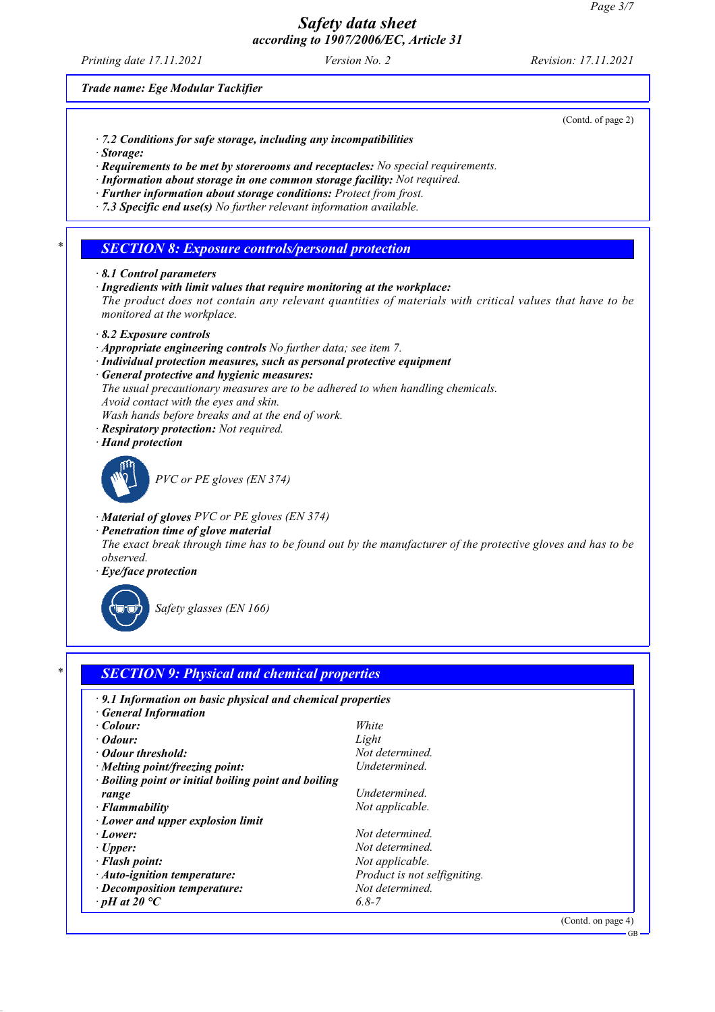*Printing date 17.11.2021 Version No. 2 Revision: 17.11.2021*

### *Trade name: Ege Modular Tackifier*

- *· 7.2 Conditions for safe storage, including any incompatibilities*
- *· Storage:*
- *· Requirements to be met by storerooms and receptacles: No special requirements.*
- *· Information about storage in one common storage facility: Not required.*
- *· Further information about storage conditions: Protect from frost.*
- *· 7.3 Specific end use(s) No further relevant information available.*

### *\* SECTION 8: Exposure controls/personal protection*

- *· 8.1 Control parameters*
- *· Ingredients with limit values that require monitoring at the workplace:*

*The product does not contain any relevant quantities of materials with critical values that have to be monitored at the workplace.*

- *· 8.2 Exposure controls*
- *· Appropriate engineering controls No further data; see item 7.*
- *· Individual protection measures, such as personal protective equipment*
- *· General protective and hygienic measures:*
- *The usual precautionary measures are to be adhered to when handling chemicals. Avoid contact with the eyes and skin.*
- *Wash hands before breaks and at the end of work.*
- *· Respiratory protection: Not required.*
- *· Hand protection*



*PVC or PE gloves (EN 374)*

- *· Material of gloves PVC or PE gloves (EN 374)*
- *· Penetration time of glove material The exact break through time has to be found out by the manufacturer of the protective gloves and has to be observed.*
- *· Eye/face protection*



*Safety glasses (EN 166)*

## *\* SECTION 9: Physical and chemical properties*

| $\cdot$ 9.1 Information on basic physical and chemical properties |                              |
|-------------------------------------------------------------------|------------------------------|
| · General Information                                             |                              |
| $\cdot$ Colour:                                                   | White                        |
| $\cdot$ Odour:                                                    | Light                        |
| • Odour threshold:                                                | Not determined.              |
| $\cdot$ Melting point/freezing point:                             | Undetermined.                |
| · Boiling point or initial boiling point and boiling              |                              |
| range                                                             | Undetermined.                |
| $\cdot$ Flammability                                              | Not applicable.              |
| $\cdot$ Lower and upper explosion limit                           |                              |
| $\cdot$ Lower:                                                    | Not determined               |
| $\cdot$ Upper:                                                    | Not determined.              |
| · Flash point:                                                    | Not applicable.              |
| $\cdot$ Auto-ignition temperature:                                | Product is not selfigniting. |
| $\cdot$ Decomposition temperature:                                | Not determined.              |
| $\cdot$ pH at 20 $^{\circ}C$                                      | $6.8 - 7$                    |

(Contd. on page 4)

(Contd. of page 2)

GB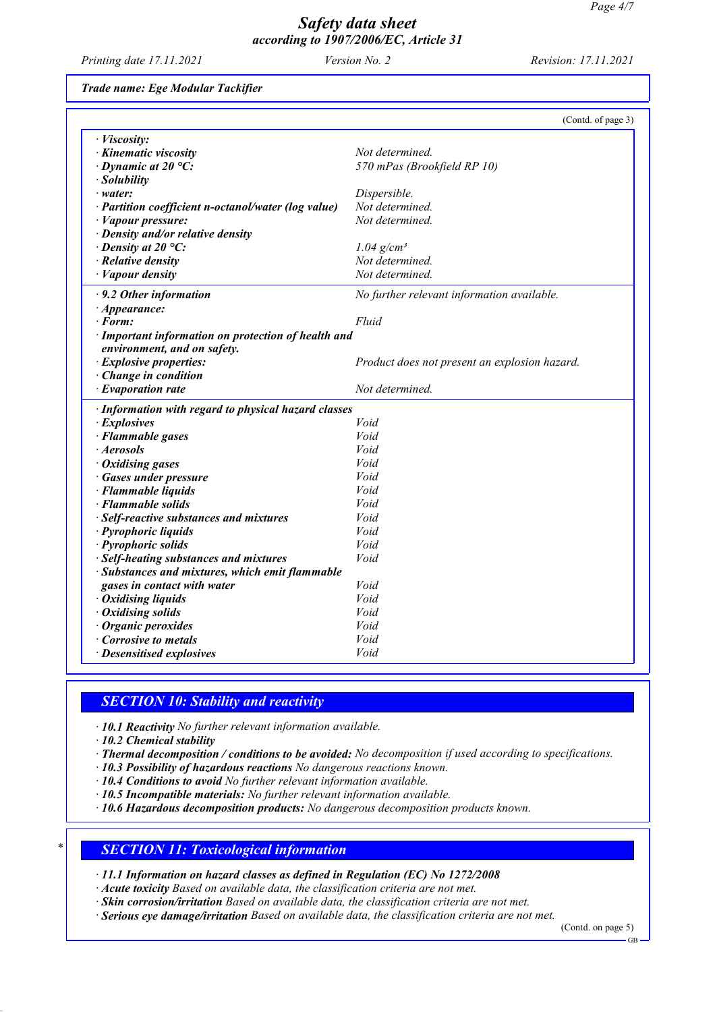*Printing date 17.11.2021 Version No. 2 Revision: 17.11.2021*

*Trade name: Ege Modular Tackifier*

|                                                                                    | (Contd. of page 3)                            |
|------------------------------------------------------------------------------------|-----------------------------------------------|
| · Viscosity:                                                                       |                                               |
| · Kinematic viscosity                                                              | Not determined.                               |
| $\cdot$ Dynamic at 20 °C:                                                          | 570 mPas (Brookfield RP 10)                   |
| · Solubility                                                                       |                                               |
| $\cdot$ water:                                                                     | Dispersible.                                  |
| · Partition coefficient n-octanol/water (log value)                                | Not determined.                               |
| · Vapour pressure:                                                                 | Not determined.                               |
| · Density and/or relative density                                                  |                                               |
| $\cdot$ Density at 20 °C:                                                          | $1.04$ g/cm <sup>3</sup>                      |
| $\cdot$ Relative density                                                           | Not determined.                               |
| · Vapour density                                                                   | Not determined.                               |
| $\cdot$ 9.2 Other information                                                      | No further relevant information available.    |
| $\cdot$ Appearance:                                                                |                                               |
| · Form:                                                                            | Fluid                                         |
| · Important information on protection of health and<br>environment, and on safety. |                                               |
| · Explosive properties:                                                            | Product does not present an explosion hazard. |
| Change in condition                                                                |                                               |
| $\cdot$ Evaporation rate                                                           | Not determined.                               |
| · Information with regard to physical hazard classes                               |                                               |
| · Explosives                                                                       | Void                                          |
| · Flammable gases                                                                  | Void                                          |
| · Aerosols                                                                         | Void                                          |
| · Oxidising gases                                                                  | Void                                          |
| · Gases under pressure                                                             | Void                                          |
| · Flammable liquids                                                                | Void                                          |
| · Flammable solids                                                                 | Void                                          |
| · Self-reactive substances and mixtures                                            | Void                                          |
| · Pyrophoric liquids                                                               | Void                                          |
| · Pyrophoric solids                                                                | Void                                          |
| · Self-heating substances and mixtures                                             | Void                                          |
| · Substances and mixtures, which emit flammable                                    |                                               |
| gases in contact with water                                                        | Void                                          |
| · Oxidising liquids                                                                | Void                                          |
| · Oxidising solids                                                                 | Void                                          |
| · Organic peroxides                                                                | Void                                          |
| <b>Corrosive to metals</b>                                                         | Void                                          |
| · Desensitised explosives                                                          | Void                                          |

## *SECTION 10: Stability and reactivity*

*· 10.1 Reactivity No further relevant information available.*

*· 10.2 Chemical stability*

- *· Thermal decomposition / conditions to be avoided: No decomposition if used according to specifications.*
- *· 10.3 Possibility of hazardous reactions No dangerous reactions known.*
- *· 10.4 Conditions to avoid No further relevant information available.*
- *· 10.5 Incompatible materials: No further relevant information available.*
- *· 10.6 Hazardous decomposition products: No dangerous decomposition products known.*

## *\* SECTION 11: Toxicological information*

*· 11.1 Information on hazard classes as defined in Regulation (EC) No 1272/2008*

*· Acute toxicity Based on available data, the classification criteria are not met.*

*· Skin corrosion/irritation Based on available data, the classification criteria are not met.*

*· Serious eye damage/irritation Based on available data, the classification criteria are not met.*

(Contd. on page 5)

GB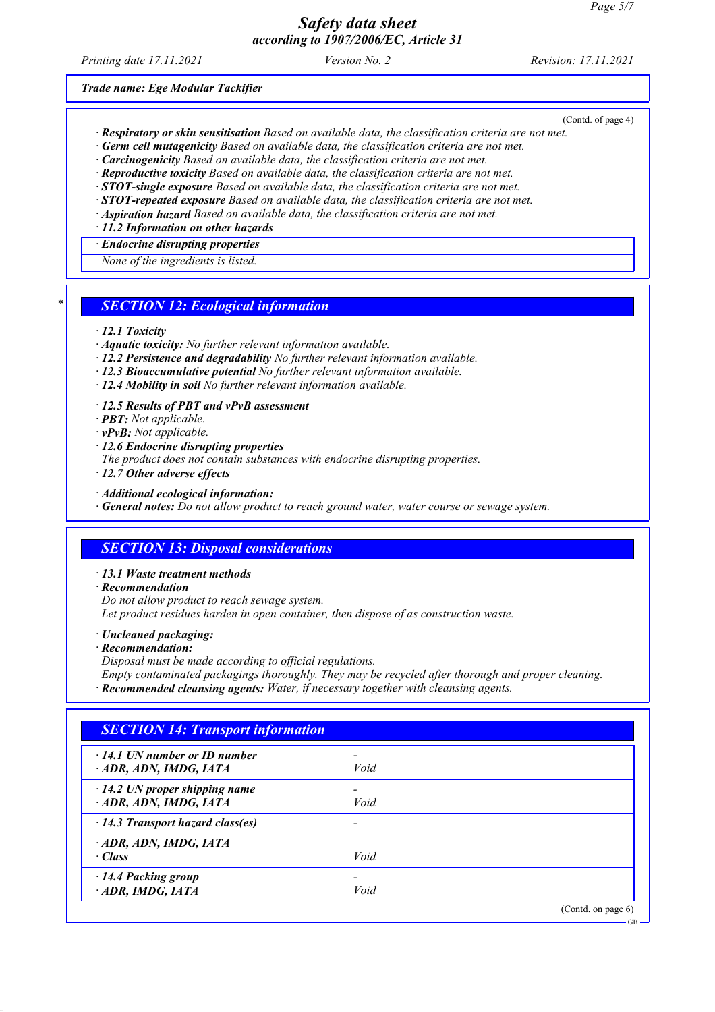*Printing date 17.11.2021 Version No. 2 Revision: 17.11.2021*

*Trade name: Ege Modular Tackifier*

(Contd. of page 4)

- *· Respiratory or skin sensitisation Based on available data, the classification criteria are not met.*
- *· Germ cell mutagenicity Based on available data, the classification criteria are not met.*
- *· Carcinogenicity Based on available data, the classification criteria are not met.*
- *· Reproductive toxicity Based on available data, the classification criteria are not met.*
- *· STOT-single exposure Based on available data, the classification criteria are not met.*
- *· STOT-repeated exposure Based on available data, the classification criteria are not met.*
- *· Aspiration hazard Based on available data, the classification criteria are not met.*
- *· 11.2 Information on other hazards · Endocrine disrupting properties*

*None of the ingredients is listed.*

### *\* SECTION 12: Ecological information*

#### *· 12.1 Toxicity*

- *· Aquatic toxicity: No further relevant information available.*
- *· 12.2 Persistence and degradability No further relevant information available.*
- *· 12.3 Bioaccumulative potential No further relevant information available.*
- *· 12.4 Mobility in soil No further relevant information available.*

*· 12.5 Results of PBT and vPvB assessment*

- *· PBT: Not applicable.*
- *· vPvB: Not applicable.*
- *· 12.6 Endocrine disrupting properties*

*The product does not contain substances with endocrine disrupting properties.*

- *· 12.7 Other adverse effects*
- *· Additional ecological information:*

*· General notes: Do not allow product to reach ground water, water course or sewage system.*

### *SECTION 13: Disposal considerations*

- *· 13.1 Waste treatment methods*
- *· Recommendation*

*Do not allow product to reach sewage system. Let product residues harden in open container, then dispose of as construction waste.*

- *· Uncleaned packaging:*
- *· Recommendation:*

*Disposal must be made according to official regulations.*

*Empty contaminated packagings thoroughly. They may be recycled after thorough and proper cleaning.*

*· Recommended cleansing agents: Water, if necessary together with cleansing agents.*

| $\cdot$ 14.1 UN number or ID number     |      |  |
|-----------------------------------------|------|--|
| ADR, ADN, IMDG, IATA                    | Void |  |
| $\cdot$ 14.2 UN proper shipping name    |      |  |
| ADR, ADN, IMDG, IATA                    | Void |  |
| $\cdot$ 14.3 Transport hazard class(es) | ۰    |  |
| ADR, ADN, IMDG, IATA                    |      |  |
| $\cdot$ Class                           | Void |  |
| 14.4 Packing group                      |      |  |
| $\cdot$ ADR, IMDG, IATA                 | Void |  |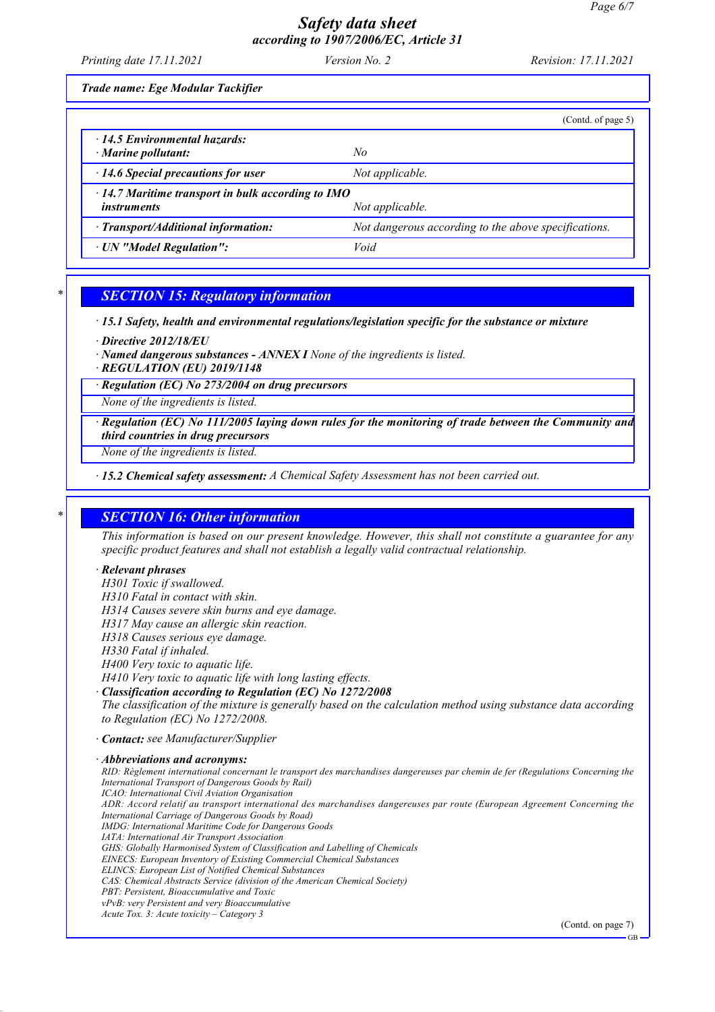| Printing date 17.11.2021          | <i>Version No. 2</i> | <i>Revision: 17.11.2021</i> |
|-----------------------------------|----------------------|-----------------------------|
| Trade name: Ege Modular Tackifier |                      |                             |

|                                                                                                   | (Contd. of page 5)                                   |
|---------------------------------------------------------------------------------------------------|------------------------------------------------------|
| $\cdot$ 14.5 Environmental hazards:<br>$\cdot$ Marine pollutant:                                  | No.                                                  |
| $\cdot$ 14.6 Special precautions for user                                                         | Not applicable.                                      |
| $\cdot$ 14.7 Maritime transport in bulk according to IMO<br>Not applicable.<br><i>instruments</i> |                                                      |
| · Transport/Additional information:                                                               | Not dangerous according to the above specifications. |
| · UN "Model Regulation":                                                                          | Void                                                 |

## *\* SECTION 15: Regulatory information*

*· 15.1 Safety, health and environmental regulations/legislation specific for the substance or mixture*

*· Directive 2012/18/EU*

*· Named dangerous substances - ANNEX I None of the ingredients is listed.*

*· REGULATION (EU) 2019/1148*

*· Regulation (EC) No 273/2004 on drug precursors*

*None of the ingredients is listed.*

*· Regulation (EC) No 111/2005 laying down rules for the monitoring of trade between the Community and third countries in drug precursors*

*None of the ingredients is listed.*

*· 15.2 Chemical safety assessment: A Chemical Safety Assessment has not been carried out.*

## *\* SECTION 16: Other information*

*This information is based on our present knowledge. However, this shall not constitute a guarantee for any specific product features and shall not establish a legally valid contractual relationship.*

### *· Relevant phrases*

*H301 Toxic if swallowed.*

*H310 Fatal in contact with skin.*

*H314 Causes severe skin burns and eye damage.*

*H317 May cause an allergic skin reaction.*

*H318 Causes serious eye damage.*

*H330 Fatal if inhaled.*

*H400 Very toxic to aquatic life.*

*H410 Very toxic to aquatic life with long lasting effects.*

*· Classification according to Regulation (EC) No 1272/2008*

*The classification of the mixture is generally based on the calculation method using substance data according to Regulation (EC) No 1272/2008.*

*· Contact: see Manufacturer/Supplier*

*· Abbreviations and acronyms:*

*RID: Règlement international concernant le transport des marchandises dangereuses par chemin de fer (Regulations Concerning the International Transport of Dangerous Goods by Rail) ICAO: International Civil Aviation Organisation ADR: Accord relatif au transport international des marchandises dangereuses par route (European Agreement Concerning the International Carriage of Dangerous Goods by Road) IMDG: International Maritime Code for Dangerous Goods IATA: International Air Transport Association GHS: Globally Harmonised System of Classification and Labelling of Chemicals EINECS: European Inventory of Existing Commercial Chemical Substances ELINCS: European List of Notified Chemical Substances CAS: Chemical Abstracts Service (division of the American Chemical Society) PBT: Persistent, Bioaccumulative and Toxic vPvB: very Persistent and very Bioaccumulative Acute Tox. 3: Acute toxicity – Category 3*

(Contd. on page 7)

GB